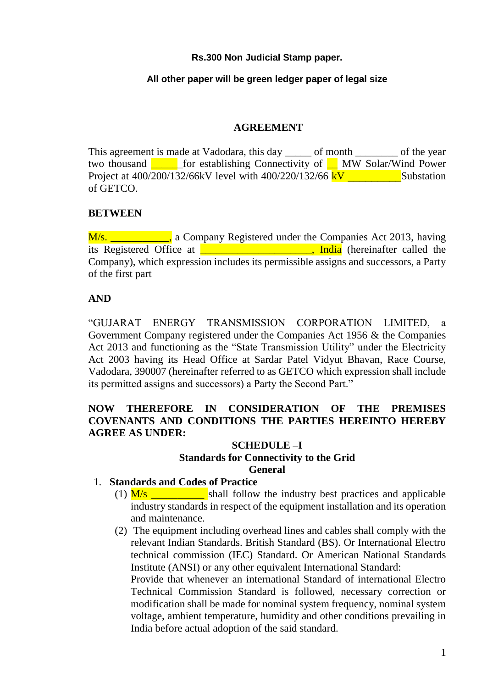### **Rs.300 Non Judicial Stamp paper.**

### **All other paper will be green ledger paper of legal size**

### **AGREEMENT**

This agreement is made at Vadodara, this day \_\_\_\_\_\_ of month \_\_\_\_\_\_\_ of the year two thousand **connectivity of MW** Solar/Wind Power Project at  $400/200/132/66$  kV level with  $400/220/132/66$  kV Substation of GETCO.

### **BETWEEN**

M/s. **M/s.** a Company Registered under the Companies Act 2013, having its Registered Office at **Exercise 2.** The set of the set of the set of the set of the set of the set of the set of the set of the set of the set of the set of the set of the set of the set of the set of the set of the set Company), which expression includes its permissible assigns and successors, a Party of the first part

### **AND**

"GUJARAT ENERGY TRANSMISSION CORPORATION LIMITED, a Government Company registered under the Companies Act 1956 & the Companies Act 2013 and functioning as the "State Transmission Utility" under the Electricity Act 2003 having its Head Office at Sardar Patel Vidyut Bhavan, Race Course, Vadodara, 390007 (hereinafter referred to as GETCO which expression shall include its permitted assigns and successors) a Party the Second Part."

## **NOW THEREFORE IN CONSIDERATION OF THE PREMISES COVENANTS AND CONDITIONS THE PARTIES HEREINTO HEREBY AGREE AS UNDER:**

#### **SCHEDULE –I Standards for Connectivity to the Grid General**

### 1. **Standards and Codes of Practice**

- (1)  $\frac{M}{s}$  \_\_\_\_\_\_\_\_\_\_\_\_\_ shall follow the industry best practices and applicable industry standards in respect of the equipment installation and its operation and maintenance.
- (2) The equipment including overhead lines and cables shall comply with the relevant Indian Standards. British Standard (BS). Or International Electro technical commission (IEC) Standard. Or American National Standards Institute (ANSI) or any other equivalent International Standard:

Provide that whenever an international Standard of international Electro Technical Commission Standard is followed, necessary correction or modification shall be made for nominal system frequency, nominal system voltage, ambient temperature, humidity and other conditions prevailing in India before actual adoption of the said standard.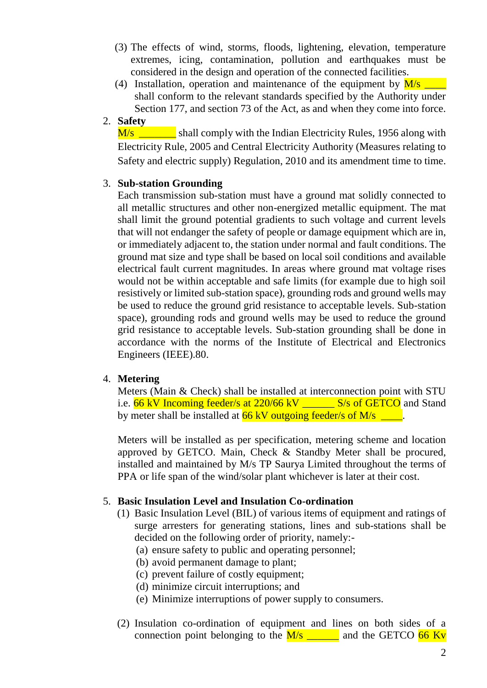- (3) The effects of wind, storms, floods, lightening, elevation, temperature extremes, icing, contamination, pollution and earthquakes must be considered in the design and operation of the connected facilities.
- (4) Installation, operation and maintenance of the equipment by  $M/s$ shall conform to the relevant standards specified by the Authority under Section 177, and section 73 of the Act, as and when they come into force.

## 2. **Safety**

M/s \_\_\_\_\_\_\_\_ shall comply with the Indian Electricity Rules, 1956 along with Electricity Rule, 2005 and Central Electricity Authority (Measures relating to Safety and electric supply) Regulation, 2010 and its amendment time to time.

### 3. **Sub-station Grounding**

Each transmission sub-station must have a ground mat solidly connected to all metallic structures and other non-energized metallic equipment. The mat shall limit the ground potential gradients to such voltage and current levels that will not endanger the safety of people or damage equipment which are in, or immediately adjacent to, the station under normal and fault conditions. The ground mat size and type shall be based on local soil conditions and available electrical fault current magnitudes. In areas where ground mat voltage rises would not be within acceptable and safe limits (for example due to high soil resistively or limited sub-station space), grounding rods and ground wells may be used to reduce the ground grid resistance to acceptable levels. Sub-station space), grounding rods and ground wells may be used to reduce the ground grid resistance to acceptable levels. Sub-station grounding shall be done in accordance with the norms of the Institute of Electrical and Electronics Engineers (IEEE).80.

### 4. **Metering**

Meters (Main & Check) shall be installed at interconnection point with STU i.e. 66 kV Incoming feeder/s at 220/66 kV \_\_\_\_\_\_\_\_ S/s of GETCO and Stand by meter shall be installed at  $66$  kV outgoing feeder/s of M/s  $\qquad$ .

Meters will be installed as per specification, metering scheme and location approved by GETCO. Main, Check & Standby Meter shall be procured, installed and maintained by M/s TP Saurya Limited throughout the terms of PPA or life span of the wind/solar plant whichever is later at their cost.

### 5. **Basic Insulation Level and Insulation Co-ordination**

- (1) Basic Insulation Level (BIL) of various items of equipment and ratings of surge arresters for generating stations, lines and sub-stations shall be decided on the following order of priority, namely:-
	- (a) ensure safety to public and operating personnel;
	- (b) avoid permanent damage to plant;
	- (c) prevent failure of costly equipment;
	- (d) minimize circuit interruptions; and
	- (e) Minimize interruptions of power supply to consumers.
- (2) Insulation co-ordination of equipment and lines on both sides of a connection point belonging to the  $M/s$  \_\_\_\_\_\_ and the GETCO 66 Kv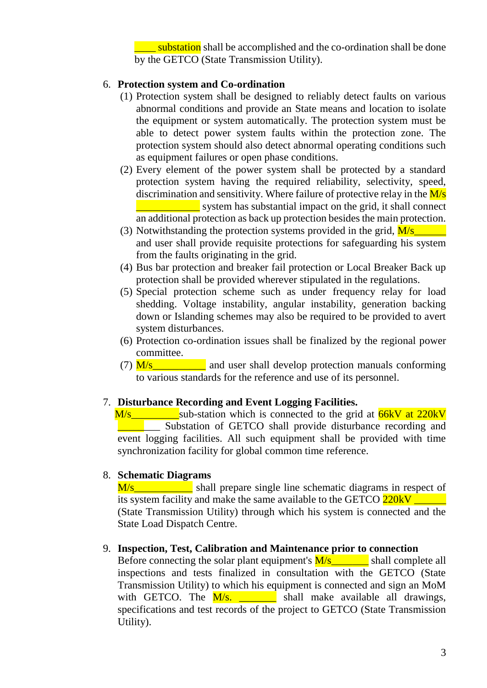**Example 3** substation shall be accomplished and the co-ordination shall be done by the GETCO (State Transmission Utility).

## 6. **Protection system and Co-ordination**

- (1) Protection system shall be designed to reliably detect faults on various abnormal conditions and provide an State means and location to isolate the equipment or system automatically. The protection system must be able to detect power system faults within the protection zone. The protection system should also detect abnormal operating conditions such as equipment failures or open phase conditions.
- (2) Every element of the power system shall be protected by a standard protection system having the required reliability, selectivity, speed, discrimination and sensitivity. Where failure of protective relay in the  $M/s$ system has substantial impact on the grid, it shall connect an additional protection as back up protection besides the main protection.
- (3) Notwithstanding the protection systems provided in the grid,  $M/s$ and user shall provide requisite protections for safeguarding his system from the faults originating in the grid.
- (4) Bus bar protection and breaker fail protection or Local Breaker Back up protection shall be provided wherever stipulated in the regulations.
- (5) Special protection scheme such as under frequency relay for load shedding. Voltage instability, angular instability, generation backing down or Islanding schemes may also be required to be provided to avert system disturbances.
- (6) Protection co-ordination issues shall be finalized by the regional power committee.
- (7)  $\frac{M}{s}$  and user shall develop protection manuals conforming to various standards for the reference and use of its personnel.

### 7. **Disturbance Recording and Event Logging Facilities.**

 $M/s$  sub-station which is connected to the grid at  $66kV$  at  $220kV$ Substation of GETCO shall provide disturbance recording and event logging facilities. All such equipment shall be provided with time synchronization facility for global common time reference.

### 8. **Schematic Diagrams**

 $M/s$  shall prepare single line schematic diagrams in respect of its system facility and make the same available to the GETCO 220kV (State Transmission Utility) through which his system is connected and the State Load Dispatch Centre.

### 9. **Inspection, Test, Calibration and Maintenance prior to connection**

Before connecting the solar plant equipment's  $M/s$  shall complete all inspections and tests finalized in consultation with the GETCO (State Transmission Utility) to which his equipment is connected and sign an MoM with GETCO. The  $M/s$ . shall make available all drawings, specifications and test records of the project to GETCO (State Transmission Utility).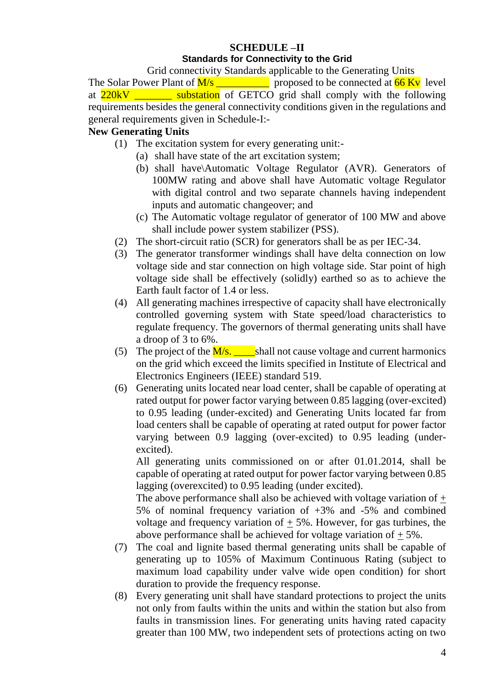## **SCHEDULE –II Standards for Connectivity to the Grid**

Grid connectivity Standards applicable to the Generating Units

The Solar Power Plant of  $\frac{M}{s}$  and the proposed to be connected at  $\frac{66 \text{ Kv}}{s}$  level at 220kV substation of GETCO grid shall comply with the following requirements besides the general connectivity conditions given in the regulations and general requirements given in Schedule-I:-

## **New Generating Units**

- (1) The excitation system for every generating unit:-
	- (a) shall have state of the art excitation system;
	- (b) shall have\Automatic Voltage Regulator (AVR). Generators of 100MW rating and above shall have Automatic voltage Regulator with digital control and two separate channels having independent inputs and automatic changeover; and
	- (c) The Automatic voltage regulator of generator of 100 MW and above shall include power system stabilizer (PSS).
- (2) The short-circuit ratio (SCR) for generators shall be as per IEC-34.
- (3) The generator transformer windings shall have delta connection on low voltage side and star connection on high voltage side. Star point of high voltage side shall be effectively (solidly) earthed so as to achieve the Earth fault factor of 1.4 or less.
- (4) All generating machines irrespective of capacity shall have electronically controlled governing system with State speed/load characteristics to regulate frequency. The governors of thermal generating units shall have a droop of 3 to 6%.
- (5) The project of the  $M/s$ .  $\_\_\_$ shall not cause voltage and current harmonics on the grid which exceed the limits specified in Institute of Electrical and Electronics Engineers (IEEE) standard 519.
- (6) Generating units located near load center, shall be capable of operating at rated output for power factor varying between 0.85 lagging (over-excited) to 0.95 leading (under-excited) and Generating Units located far from load centers shall be capable of operating at rated output for power factor varying between 0.9 lagging (over-excited) to 0.95 leading (underexcited).

All generating units commissioned on or after 01.01.2014, shall be capable of operating at rated output for power factor varying between 0.85 lagging (overexcited) to 0.95 leading (under excited).

The above performance shall also be achieved with voltage variation of  $+$ 5% of nominal frequency variation of +3% and -5% and combined voltage and frequency variation of  $+5\%$ . However, for gas turbines, the above performance shall be achieved for voltage variation of  $+5\%$ .

- (7) The coal and lignite based thermal generating units shall be capable of generating up to 105% of Maximum Continuous Rating (subject to maximum load capability under valve wide open condition) for short duration to provide the frequency response.
- (8) Every generating unit shall have standard protections to project the units not only from faults within the units and within the station but also from faults in transmission lines. For generating units having rated capacity greater than 100 MW, two independent sets of protections acting on two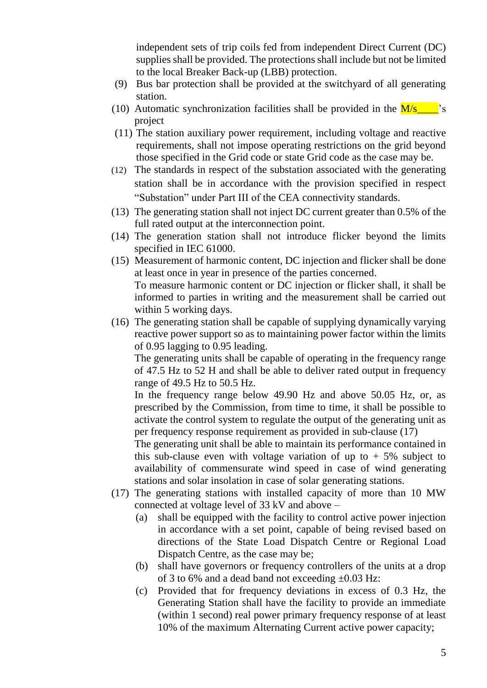independent sets of trip coils fed from independent Direct Current (DC) supplies shall be provided. The protections shall include but not be limited to the local Breaker Back-up (LBB) protection.

- (9) Bus bar protection shall be provided at the switchyard of all generating station.
- (10) Automatic synchronization facilities shall be provided in the  $M/s$   $\sim$  's project
- (11) The station auxiliary power requirement, including voltage and reactive requirements, shall not impose operating restrictions on the grid beyond those specified in the Grid code or state Grid code as the case may be.
- (12) The standards in respect of the substation associated with the generating station shall be in accordance with the provision specified in respect "Substation" under Part III of the CEA connectivity standards.
- (13) The generating station shall not inject DC current greater than 0.5% of the full rated output at the interconnection point.
- (14) The generation station shall not introduce flicker beyond the limits specified in IEC 61000.
- (15) Measurement of harmonic content, DC injection and flicker shall be done at least once in year in presence of the parties concerned. To measure harmonic content or DC injection or flicker shall, it shall be informed to parties in writing and the measurement shall be carried out within 5 working days.
- (16) The generating station shall be capable of supplying dynamically varying reactive power support so as to maintaining power factor within the limits of 0.95 lagging to 0.95 leading.

The generating units shall be capable of operating in the frequency range of 47.5 Hz to 52 H and shall be able to deliver rated output in frequency range of 49.5 Hz to 50.5 Hz.

In the frequency range below 49.90 Hz and above 50.05 Hz, or, as prescribed by the Commission, from time to time, it shall be possible to activate the control system to regulate the output of the generating unit as per frequency response requirement as provided in sub-clause (17)

The generating unit shall be able to maintain its performance contained in this sub-clause even with voltage variation of up to  $+5\%$  subject to availability of commensurate wind speed in case of wind generating stations and solar insolation in case of solar generating stations.

- (17) The generating stations with installed capacity of more than 10 MW connected at voltage level of 33 kV and above –
	- (a) shall be equipped with the facility to control active power injection in accordance with a set point, capable of being revised based on directions of the State Load Dispatch Centre or Regional Load Dispatch Centre, as the case may be;
	- (b) shall have governors or frequency controllers of the units at a drop of 3 to 6% and a dead band not exceeding  $\pm 0.03$  Hz:
	- (c) Provided that for frequency deviations in excess of 0.3 Hz, the Generating Station shall have the facility to provide an immediate (within 1 second) real power primary frequency response of at least 10% of the maximum Alternating Current active power capacity;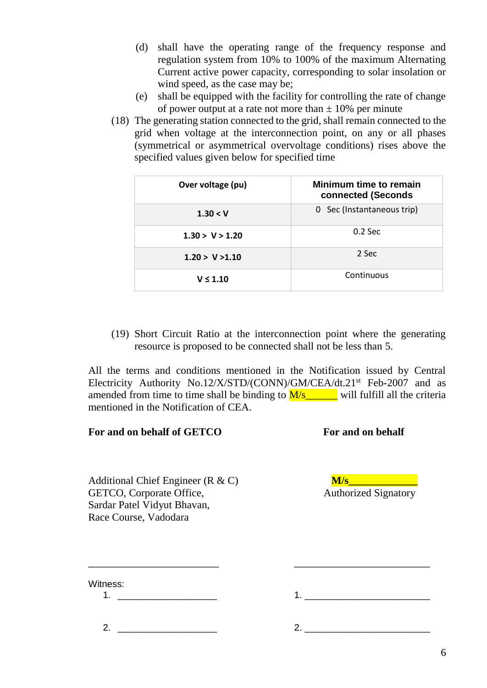- (d) shall have the operating range of the frequency response and regulation system from 10% to 100% of the maximum Alternating Current active power capacity, corresponding to solar insolation or wind speed, as the case may be;
- (e) shall be equipped with the facility for controlling the rate of change of power output at a rate not more than  $\pm$  10% per minute
- (18) The generating station connected to the grid, shall remain connected to the grid when voltage at the interconnection point, on any or all phases (symmetrical or asymmetrical overvoltage conditions) rises above the specified values given below for specified time

| Over voltage (pu) | Minimum time to remain<br>connected (Seconds |
|-------------------|----------------------------------------------|
| 1.30 < V          | 0 Sec (Instantaneous trip)                   |
| 1.30 > V > 1.20   | $0.2$ Sec                                    |
| 1.20 > V > 1.10   | 2 Sec                                        |
| $V \leq 1.10$     | Continuous                                   |

(19) Short Circuit Ratio at the interconnection point where the generating resource is proposed to be connected shall not be less than 5.

All the terms and conditions mentioned in the Notification issued by Central Electricity Authority No.12/X/STD/(CONN)/GM/CEA/dt.21<sup>st</sup> Feb-2007 and as amended from time to time shall be binding to  $M/s$  will fulfill all the criteria mentioned in the Notification of CEA.

\_\_\_\_\_\_\_\_\_\_\_\_\_\_\_\_\_\_\_\_\_\_\_\_\_ \_\_\_\_\_\_\_\_\_\_\_\_\_\_\_\_\_\_\_\_\_\_\_\_\_\_

| For and on behalf of GETCO |  |  |  |  |  |
|----------------------------|--|--|--|--|--|
|----------------------------|--|--|--|--|--|

For and on behalf

Additional Chief Engineer (R & C) GETCO, Corporate Office, Sardar Patel Vidyut Bhavan, Race Course, Vadodara

| M/s                         |
|-----------------------------|
| <b>Authorized Signatory</b> |

| Witness: |  |
|----------|--|
|          |  |

1. \_\_\_\_\_\_\_\_\_\_\_\_\_\_\_\_\_\_\_ 1. \_\_\_\_\_\_\_\_\_\_\_\_\_\_\_\_\_\_\_\_\_\_\_\_

 $2.$  2.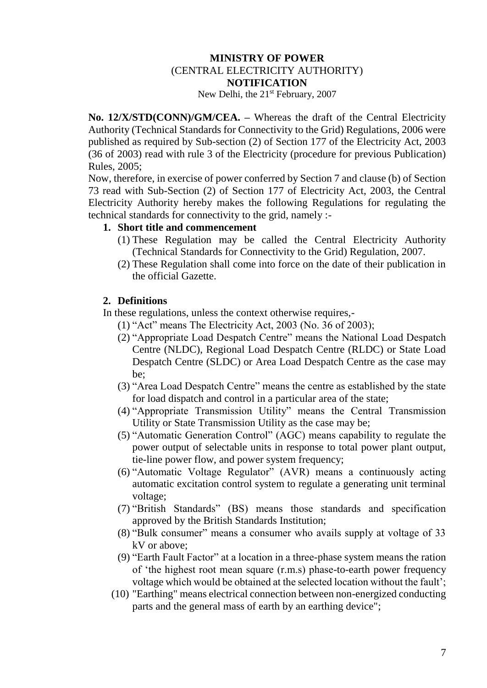# **MINISTRY OF POWER** (CENTRAL ELECTRICITY AUTHORITY) **NOTIFICATION**

New Delhi, the 21<sup>st</sup> February, 2007

**No. 12/X/STD(CONN)/GM/CEA. –** Whereas the draft of the Central Electricity Authority (Technical Standards for Connectivity to the Grid) Regulations, 2006 were published as required by Sub-section (2) of Section 177 of the Electricity Act, 2003 (36 of 2003) read with rule 3 of the Electricity (procedure for previous Publication) Rules, 2005;

Now, therefore, in exercise of power conferred by Section 7 and clause (b) of Section 73 read with Sub-Section (2) of Section 177 of Electricity Act, 2003, the Central Electricity Authority hereby makes the following Regulations for regulating the technical standards for connectivity to the grid, namely :-

### **1. Short title and commencement**

- (1) These Regulation may be called the Central Electricity Authority (Technical Standards for Connectivity to the Grid) Regulation, 2007.
- (2) These Regulation shall come into force on the date of their publication in the official Gazette.

## **2. Definitions**

In these regulations, unless the context otherwise requires,-

- (1) "Act" means The Electricity Act, 2003 (No. 36 of 2003);
- (2) "Appropriate Load Despatch Centre" means the National Load Despatch Centre (NLDC), Regional Load Despatch Centre (RLDC) or State Load Despatch Centre (SLDC) or Area Load Despatch Centre as the case may be;
- (3) "Area Load Despatch Centre" means the centre as established by the state for load dispatch and control in a particular area of the state;
- (4) "Appropriate Transmission Utility" means the Central Transmission Utility or State Transmission Utility as the case may be;
- (5) "Automatic Generation Control" (AGC) means capability to regulate the power output of selectable units in response to total power plant output, tie-line power flow, and power system frequency;
- (6) "Automatic Voltage Regulator" (AVR) means a continuously acting automatic excitation control system to regulate a generating unit terminal voltage;
- (7) "British Standards" (BS) means those standards and specification approved by the British Standards Institution;
- (8) "Bulk consumer" means a consumer who avails supply at voltage of 33 kV or above;
- (9) "Earth Fault Factor" at a location in a three-phase system means the ration of 'the highest root mean square (r.m.s) phase-to-earth power frequency voltage which would be obtained at the selected location without the fault';
- (10) "Earthing" means electrical connection between non-energized conducting parts and the general mass of earth by an earthing device";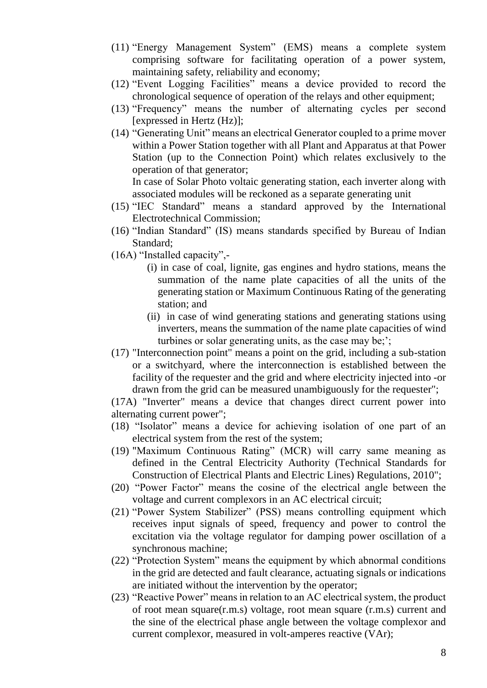- (11) "Energy Management System" (EMS) means a complete system comprising software for facilitating operation of a power system, maintaining safety, reliability and economy;
- (12) "Event Logging Facilities" means a device provided to record the chronological sequence of operation of the relays and other equipment;
- (13) "Frequency" means the number of alternating cycles per second [expressed in Hertz (Hz)];
- (14) "Generating Unit" means an electrical Generator coupled to a prime mover within a Power Station together with all Plant and Apparatus at that Power Station (up to the Connection Point) which relates exclusively to the operation of that generator;

In case of Solar Photo voltaic generating station, each inverter along with associated modules will be reckoned as a separate generating unit

- (15) "IEC Standard" means a standard approved by the International Electrotechnical Commission;
- (16) "Indian Standard" (IS) means standards specified by Bureau of Indian Standard;
- (16A) "Installed capacity",-
	- (i) in case of coal, lignite, gas engines and hydro stations, means the summation of the name plate capacities of all the units of the generating station or Maximum Continuous Rating of the generating station; and
	- (ii) in case of wind generating stations and generating stations using inverters, means the summation of the name plate capacities of wind turbines or solar generating units, as the case may be;';
- (17) "Interconnection point" means a point on the grid, including a sub-station or a switchyard, where the interconnection is established between the facility of the requester and the grid and where electricity injected into -or drawn from the grid can be measured unambiguously for the requester";

(17A) "Inverter" means a device that changes direct current power into alternating current power";

- (18) "Isolator" means a device for achieving isolation of one part of an electrical system from the rest of the system;
- (19) "Maximum Continuous Rating" (MCR) will carry same meaning as defined in the Central Electricity Authority (Technical Standards for Construction of Electrical Plants and Electric Lines) Regulations, 2010";
- (20) "Power Factor" means the cosine of the electrical angle between the voltage and current complexors in an AC electrical circuit;
- (21) "Power System Stabilizer" (PSS) means controlling equipment which receives input signals of speed, frequency and power to control the excitation via the voltage regulator for damping power oscillation of a synchronous machine;
- (22) "Protection System" means the equipment by which abnormal conditions in the grid are detected and fault clearance, actuating signals or indications are initiated without the intervention by the operator;
- (23) "Reactive Power" means in relation to an AC electrical system, the product of root mean square(r.m.s) voltage, root mean square (r.m.s) current and the sine of the electrical phase angle between the voltage complexor and current complexor, measured in volt-amperes reactive (VAr);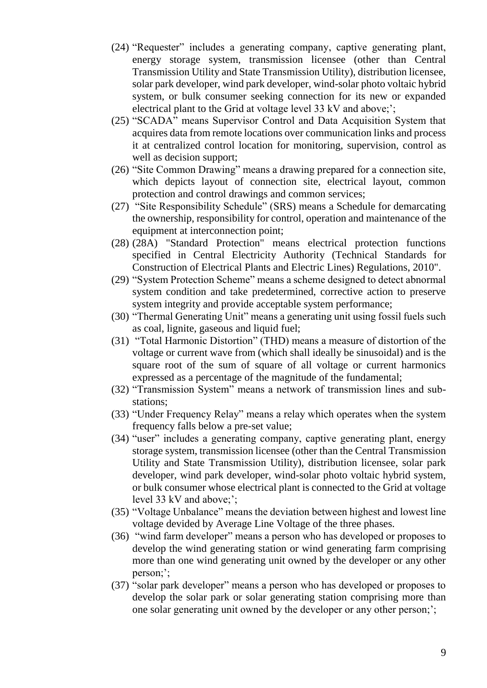- (24) "Requester" includes a generating company, captive generating plant, energy storage system, transmission licensee (other than Central Transmission Utility and State Transmission Utility), distribution licensee, solar park developer, wind park developer, wind-solar photo voltaic hybrid system, or bulk consumer seeking connection for its new or expanded electrical plant to the Grid at voltage level 33 kV and above;';
- (25) "SCADA" means Supervisor Control and Data Acquisition System that acquires data from remote locations over communication links and process it at centralized control location for monitoring, supervision, control as well as decision support;
- (26) "Site Common Drawing" means a drawing prepared for a connection site, which depicts layout of connection site, electrical layout, common protection and control drawings and common services;
- (27) "Site Responsibility Schedule" (SRS) means a Schedule for demarcating the ownership, responsibility for control, operation and maintenance of the equipment at interconnection point;
- (28) (28A) "Standard Protection" means electrical protection functions specified in Central Electricity Authority (Technical Standards for Construction of Electrical Plants and Electric Lines) Regulations, 2010".
- (29) "System Protection Scheme" means a scheme designed to detect abnormal system condition and take predetermined, corrective action to preserve system integrity and provide acceptable system performance;
- (30) "Thermal Generating Unit" means a generating unit using fossil fuels such as coal, lignite, gaseous and liquid fuel;
- (31) "Total Harmonic Distortion" (THD) means a measure of distortion of the voltage or current wave from (which shall ideally be sinusoidal) and is the square root of the sum of square of all voltage or current harmonics expressed as a percentage of the magnitude of the fundamental;
- (32) "Transmission System" means a network of transmission lines and substations;
- (33) "Under Frequency Relay" means a relay which operates when the system frequency falls below a pre-set value;
- (34) "user" includes a generating company, captive generating plant, energy storage system, transmission licensee (other than the Central Transmission Utility and State Transmission Utility), distribution licensee, solar park developer, wind park developer, wind-solar photo voltaic hybrid system, or bulk consumer whose electrical plant is connected to the Grid at voltage level 33 kV and above;';
- (35) "Voltage Unbalance" means the deviation between highest and lowest line voltage devided by Average Line Voltage of the three phases.
- (36) "wind farm developer" means a person who has developed or proposes to develop the wind generating station or wind generating farm comprising more than one wind generating unit owned by the developer or any other person;';
- (37) "solar park developer" means a person who has developed or proposes to develop the solar park or solar generating station comprising more than one solar generating unit owned by the developer or any other person;';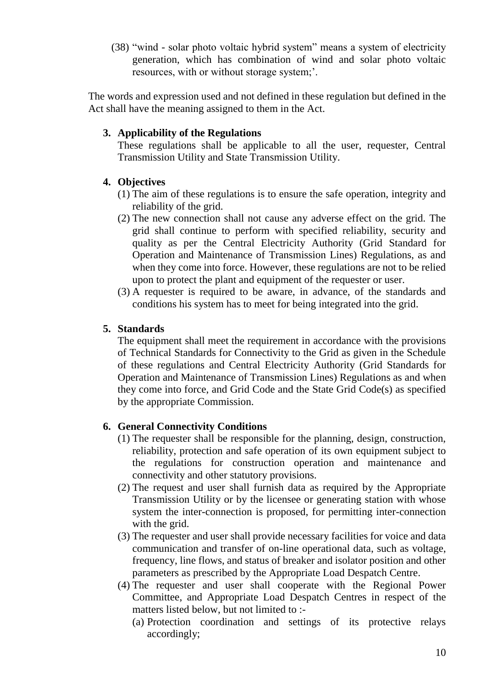(38) "wind - solar photo voltaic hybrid system" means a system of electricity generation, which has combination of wind and solar photo voltaic resources, with or without storage system;'.

The words and expression used and not defined in these regulation but defined in the Act shall have the meaning assigned to them in the Act.

## **3. Applicability of the Regulations**

These regulations shall be applicable to all the user, requester, Central Transmission Utility and State Transmission Utility.

### **4. Objectives**

- (1) The aim of these regulations is to ensure the safe operation, integrity and reliability of the grid.
- (2) The new connection shall not cause any adverse effect on the grid. The grid shall continue to perform with specified reliability, security and quality as per the Central Electricity Authority (Grid Standard for Operation and Maintenance of Transmission Lines) Regulations, as and when they come into force. However, these regulations are not to be relied upon to protect the plant and equipment of the requester or user.
- (3) A requester is required to be aware, in advance, of the standards and conditions his system has to meet for being integrated into the grid.

## **5. Standards**

The equipment shall meet the requirement in accordance with the provisions of Technical Standards for Connectivity to the Grid as given in the Schedule of these regulations and Central Electricity Authority (Grid Standards for Operation and Maintenance of Transmission Lines) Regulations as and when they come into force, and Grid Code and the State Grid Code(s) as specified by the appropriate Commission.

### **6. General Connectivity Conditions**

- (1) The requester shall be responsible for the planning, design, construction, reliability, protection and safe operation of its own equipment subject to the regulations for construction operation and maintenance and connectivity and other statutory provisions.
- (2) The request and user shall furnish data as required by the Appropriate Transmission Utility or by the licensee or generating station with whose system the inter-connection is proposed, for permitting inter-connection with the grid.
- (3) The requester and user shall provide necessary facilities for voice and data communication and transfer of on-line operational data, such as voltage, frequency, line flows, and status of breaker and isolator position and other parameters as prescribed by the Appropriate Load Despatch Centre.
- (4) The requester and user shall cooperate with the Regional Power Committee, and Appropriate Load Despatch Centres in respect of the matters listed below, but not limited to :-
	- (a) Protection coordination and settings of its protective relays accordingly;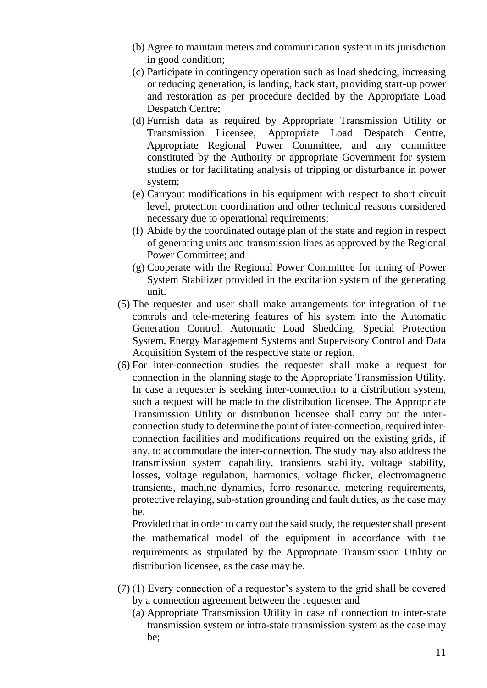- (b) Agree to maintain meters and communication system in its jurisdiction in good condition;
- (c) Participate in contingency operation such as load shedding, increasing or reducing generation, is landing, back start, providing start-up power and restoration as per procedure decided by the Appropriate Load Despatch Centre;
- (d) Furnish data as required by Appropriate Transmission Utility or Transmission Licensee, Appropriate Load Despatch Centre, Appropriate Regional Power Committee, and any committee constituted by the Authority or appropriate Government for system studies or for facilitating analysis of tripping or disturbance in power system;
- (e) Carryout modifications in his equipment with respect to short circuit level, protection coordination and other technical reasons considered necessary due to operational requirements;
- (f) Abide by the coordinated outage plan of the state and region in respect of generating units and transmission lines as approved by the Regional Power Committee; and
- (g) Cooperate with the Regional Power Committee for tuning of Power System Stabilizer provided in the excitation system of the generating unit.
- (5) The requester and user shall make arrangements for integration of the controls and tele-metering features of his system into the Automatic Generation Control, Automatic Load Shedding, Special Protection System, Energy Management Systems and Supervisory Control and Data Acquisition System of the respective state or region.
- (6) For inter-connection studies the requester shall make a request for connection in the planning stage to the Appropriate Transmission Utility. In case a requester is seeking inter-connection to a distribution system, such a request will be made to the distribution licensee. The Appropriate Transmission Utility or distribution licensee shall carry out the interconnection study to determine the point of inter-connection, required interconnection facilities and modifications required on the existing grids, if any, to accommodate the inter-connection. The study may also address the transmission system capability, transients stability, voltage stability, losses, voltage regulation, harmonics, voltage flicker, electromagnetic transients, machine dynamics, ferro resonance, metering requirements, protective relaying, sub-station grounding and fault duties, as the case may be.

Provided that in order to carry out the said study, the requester shall present the mathematical model of the equipment in accordance with the requirements as stipulated by the Appropriate Transmission Utility or distribution licensee, as the case may be.

- (7) (1) Every connection of a requestor's system to the grid shall be covered by a connection agreement between the requester and
	- (a) Appropriate Transmission Utility in case of connection to inter-state transmission system or intra-state transmission system as the case may be;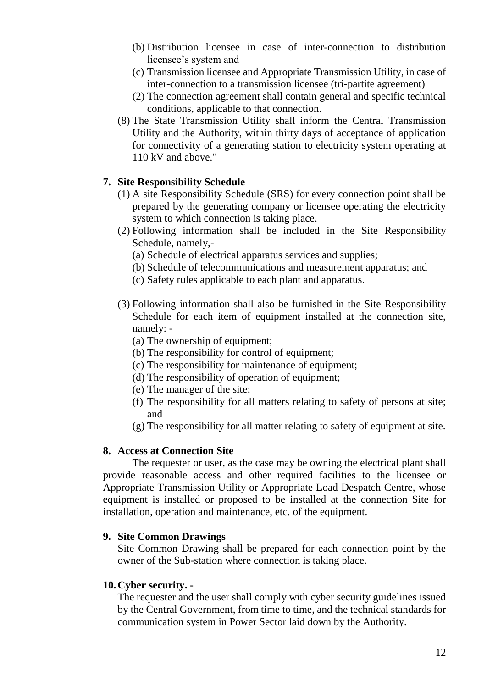- (b) Distribution licensee in case of inter-connection to distribution licensee's system and
- (c) Transmission licensee and Appropriate Transmission Utility, in case of inter-connection to a transmission licensee (tri-partite agreement)
- (2) The connection agreement shall contain general and specific technical conditions, applicable to that connection.
- (8) The State Transmission Utility shall inform the Central Transmission Utility and the Authority, within thirty days of acceptance of application for connectivity of a generating station to electricity system operating at 110 kV and above."

### **7. Site Responsibility Schedule**

- (1) A site Responsibility Schedule (SRS) for every connection point shall be prepared by the generating company or licensee operating the electricity system to which connection is taking place.
- (2) Following information shall be included in the Site Responsibility Schedule, namely,-
	- (a) Schedule of electrical apparatus services and supplies;
	- (b) Schedule of telecommunications and measurement apparatus; and
	- (c) Safety rules applicable to each plant and apparatus.
- (3) Following information shall also be furnished in the Site Responsibility Schedule for each item of equipment installed at the connection site, namely: -
	- (a) The ownership of equipment;
	- (b) The responsibility for control of equipment;
	- (c) The responsibility for maintenance of equipment;
	- (d) The responsibility of operation of equipment;
	- (e) The manager of the site;
	- (f) The responsibility for all matters relating to safety of persons at site; and
	- (g) The responsibility for all matter relating to safety of equipment at site.

### **8. Access at Connection Site**

The requester or user, as the case may be owning the electrical plant shall provide reasonable access and other required facilities to the licensee or Appropriate Transmission Utility or Appropriate Load Despatch Centre, whose equipment is installed or proposed to be installed at the connection Site for installation, operation and maintenance, etc. of the equipment.

### **9. Site Common Drawings**

Site Common Drawing shall be prepared for each connection point by the owner of the Sub-station where connection is taking place.

### **10.Cyber security. -**

The requester and the user shall comply with cyber security guidelines issued by the Central Government, from time to time, and the technical standards for communication system in Power Sector laid down by the Authority.